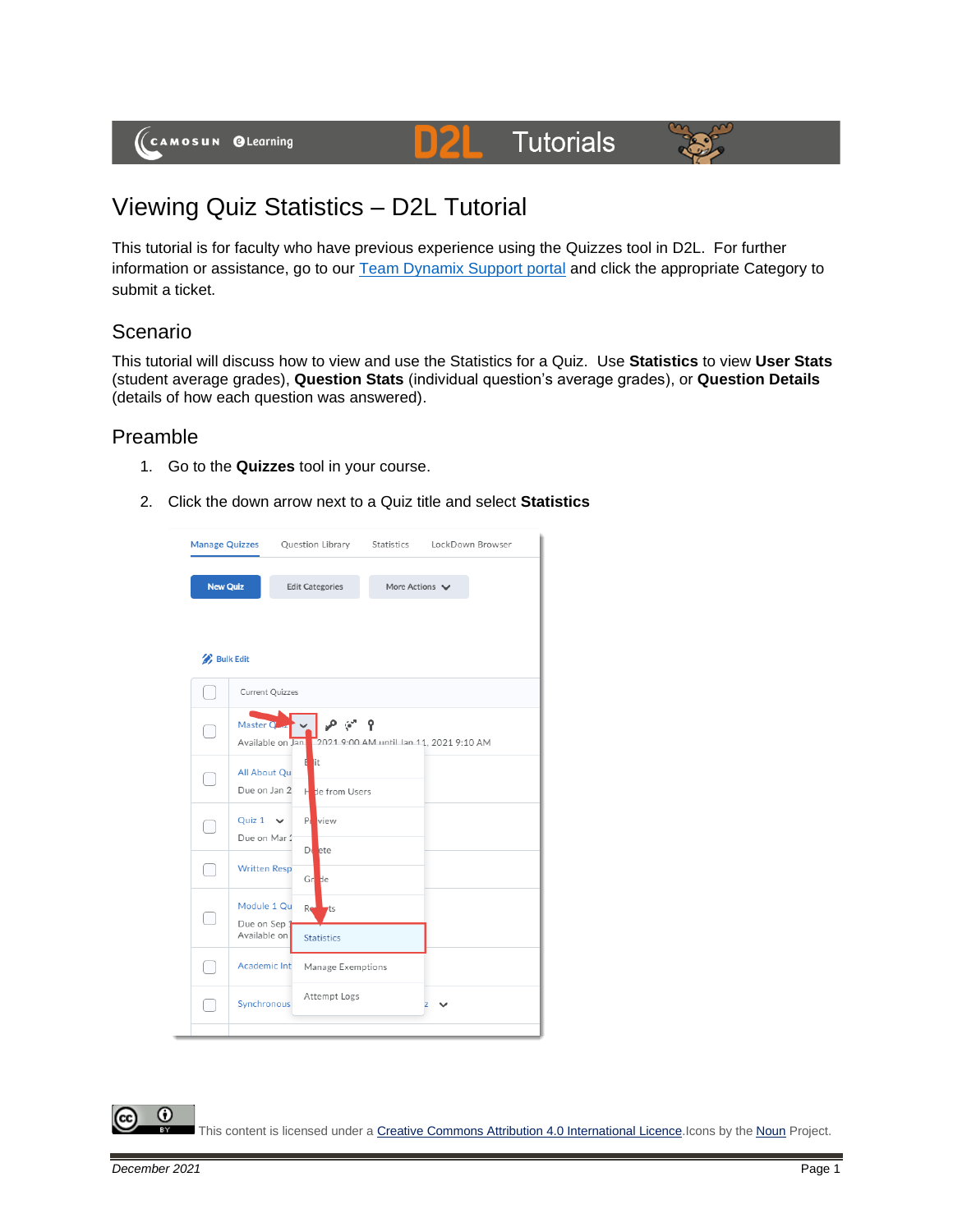(CAMOSUN @Learning

# **D2L** Tutorials



## Viewing Quiz Statistics – D2L Tutorial

This tutorial is for faculty who have previous experience using the Quizzes tool in D2L. For further information or assistance, go to our [Team Dynamix Support portal](https://camosun.teamdynamix.com/TDClient/67/Portal/Requests/ServiceCatalog?CategoryID=523) and click the appropriate Category to submit a ticket.

### Scenario

This tutorial will discuss how to view and use the Statistics for a Quiz. Use **Statistics** to view **User Stats** (student average grades), **Question Stats** (individual question's average grades), or **Question Details** (details of how each question was answered).

#### Preamble

- 1. Go to the **Quizzes** tool in your course.
- 2. Click the down arrow next to a Quiz title and select **Statistics**



This content is licensed under [a Creative Commons Attribution 4.0 International Licence.I](https://creativecommons.org/licenses/by/4.0/)cons by the [Noun](https://creativecommons.org/website-icons/) Project.

⋒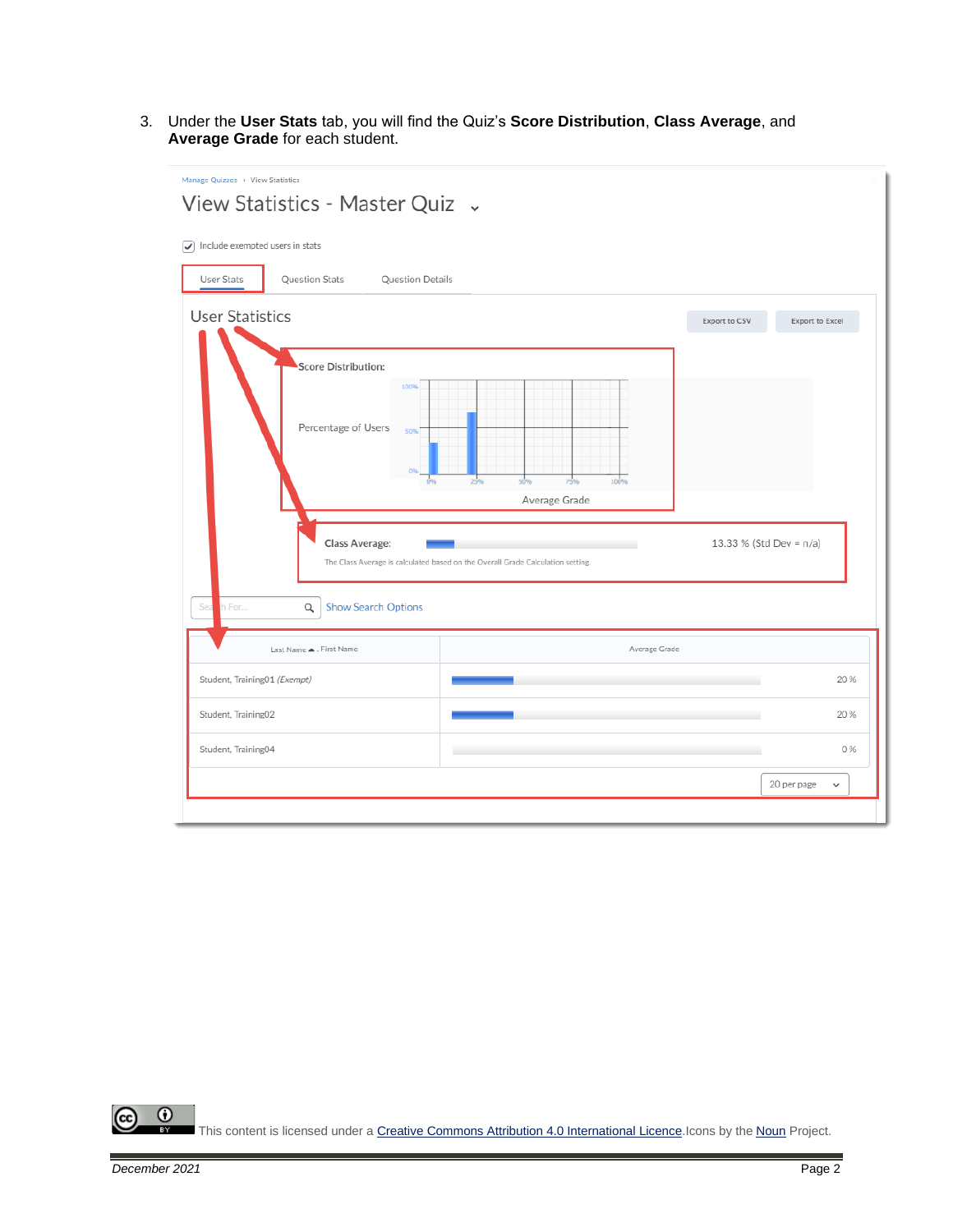3. Under the **User Stats** tab, you will find the Quiz's **Score Distribution**, **Class Average**, and **Average Grade** for each student.

| Manage Quizzes > View Statistics<br>View Statistics - Master Quiz .                                      |                                                                                 |                         |                             |
|----------------------------------------------------------------------------------------------------------|---------------------------------------------------------------------------------|-------------------------|-----------------------------|
| $\sqrt{\phantom{a}}$ Include exempted users in stats<br>User Stats<br>Question Stats<br>Question Details |                                                                                 |                         |                             |
| <b>User Statistics</b><br><b>Score Distribution:</b><br>100%<br>Percentage of Users<br>50%               | 100%<br>75%<br>Average Grade                                                    | Export to CSV           | Export to Excel             |
| Class Average:                                                                                           | The Class Average is calculated based on the Overall Grade Calculation setting. | 13.33 % (Std Dev = n/a) |                             |
| th For<br><b>Show Search Options</b><br>Sea<br>$\alpha$                                                  |                                                                                 |                         |                             |
| Last Name ▲. First Name                                                                                  | Average Grade                                                                   |                         |                             |
| Student, Training01 (Exempt)                                                                             |                                                                                 |                         | 20%                         |
| Student, Training02                                                                                      |                                                                                 |                         | 20%                         |
| Student, Training04                                                                                      |                                                                                 |                         | 0%                          |
|                                                                                                          |                                                                                 |                         | 20 per page<br>$\checkmark$ |

 $\overline{0}$ (cc This content is licensed under [a Creative Commons Attribution 4.0 International Licence.I](https://creativecommons.org/licenses/by/4.0/)cons by the [Noun](https://creativecommons.org/website-icons/) Project.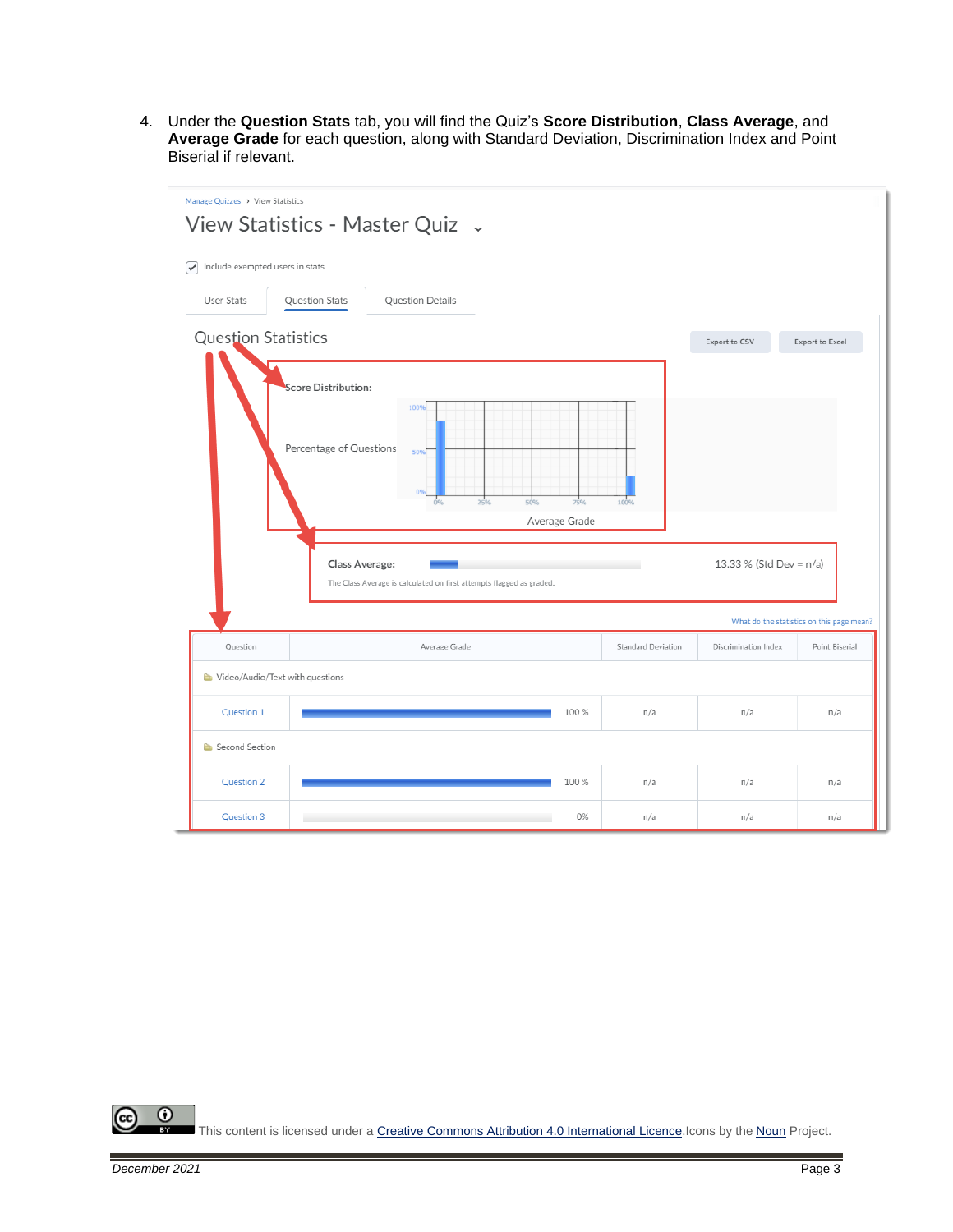4. Under the **Question Stats** tab, you will find the Quiz's **Score Distribution**, **Class Average**, and **Average Grade** for each question, along with Standard Deviation, Discrimination Index and Point Biserial if relevant.

| Manage Quizzes > View Statistics<br>View Statistics - Master Quiz .                                                                                                                                                                     |                                                             |                  |       |     |                 |                                           |
|-----------------------------------------------------------------------------------------------------------------------------------------------------------------------------------------------------------------------------------------|-------------------------------------------------------------|------------------|-------|-----|-----------------|-------------------------------------------|
| Include exempted users in stats<br>$\checkmark$                                                                                                                                                                                         |                                                             |                  |       |     |                 |                                           |
| User Stats                                                                                                                                                                                                                              | Question Stats                                              | Question Details |       |     |                 |                                           |
| <b>Question Statistics</b><br>Export to CSV                                                                                                                                                                                             |                                                             |                  |       |     | Export to Excel |                                           |
| <b>Score Distribution:</b><br>100%<br>Percentage of Questions<br>50%<br>50%<br>75%<br>100%<br>25%<br>Average Grade<br>13.33 % (Std Dev = n/a)<br>Class Average:<br>The Class Average is calculated on first attempts flagged as graded. |                                                             |                  |       |     |                 |                                           |
|                                                                                                                                                                                                                                         |                                                             |                  |       |     |                 | What do the statistics on this page mean? |
| Question                                                                                                                                                                                                                                | Standard Deviation<br>Discrimination Index<br>Average Grade |                  |       |     | Point Biserial  |                                           |
|                                                                                                                                                                                                                                         | Video/Audio/Text with questions                             |                  |       |     |                 |                                           |
| Question 1                                                                                                                                                                                                                              |                                                             | 100 %            |       | n/a | n/a             | n/a                                       |
| Second Section                                                                                                                                                                                                                          |                                                             |                  |       |     |                 |                                           |
| Question 2                                                                                                                                                                                                                              |                                                             |                  | 100 % | n/a | n/a             | n/a                                       |
| Question 3                                                                                                                                                                                                                              |                                                             |                  | 0%    | n/a | n/a             | n/a                                       |

 $\overline{\odot}$ (cc This content is licensed under [a Creative Commons Attribution 4.0 International Licence.I](https://creativecommons.org/licenses/by/4.0/)cons by the [Noun](https://creativecommons.org/website-icons/) Project.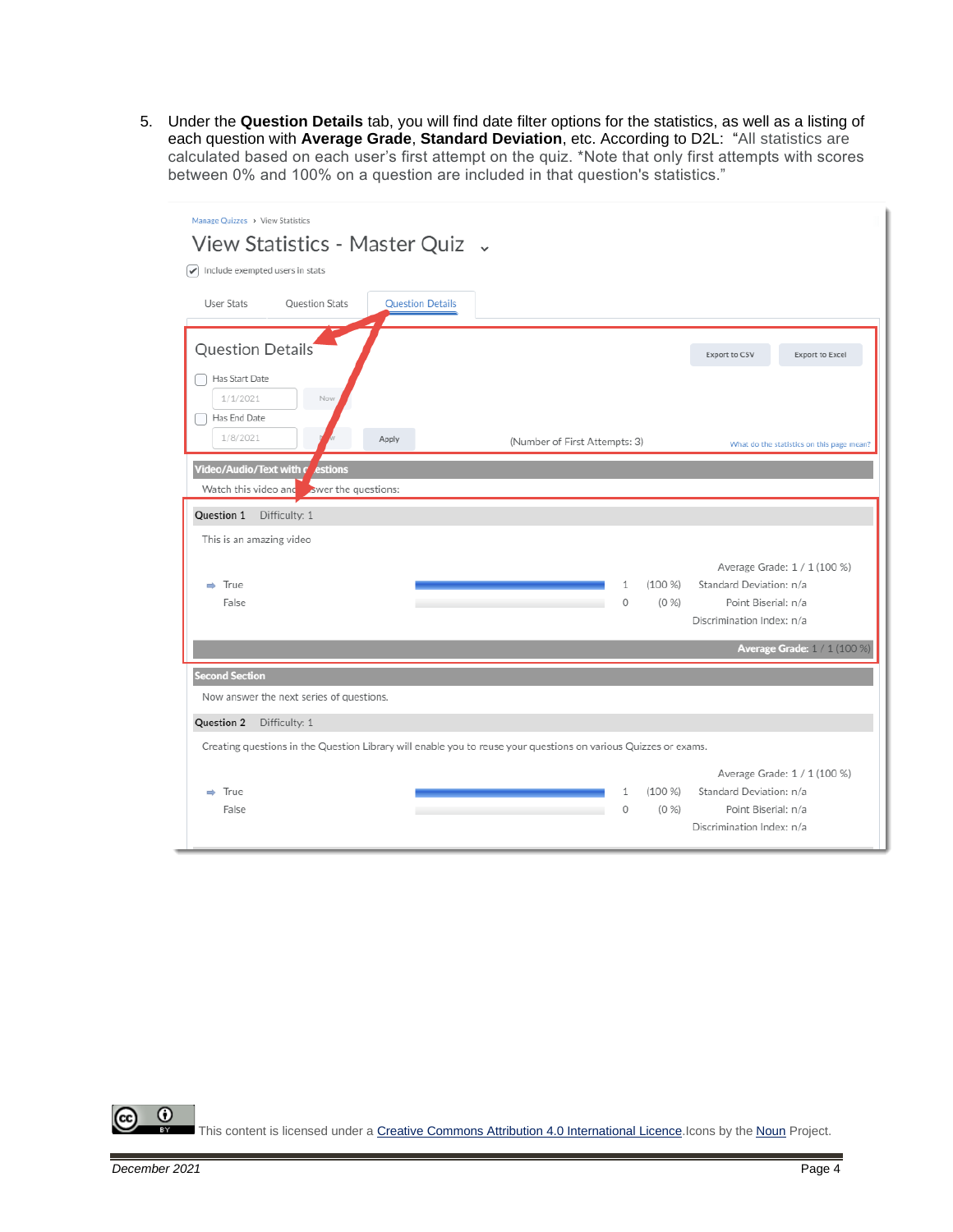5. Under the **Question Details** tab, you will find date filter options for the statistics, as well as a listing of each question with **Average Grade**, **Standard Deviation**, etc. According to D2L: "All statistics are calculated based on each user's first attempt on the quiz. \*Note that only first attempts with scores between 0% and 100% on a question are included in that question's statistics."

| Manage Quizzes > View Statistics<br>View Statistics - Master Quiz .                                             |                                                                                                                                          |  |  |  |  |  |
|-----------------------------------------------------------------------------------------------------------------|------------------------------------------------------------------------------------------------------------------------------------------|--|--|--|--|--|
| $\blacktriangleright$ Include exempted users in stats<br>User Stats<br>Question Stats                           | <b>Ouestion Details</b>                                                                                                                  |  |  |  |  |  |
| Question Details                                                                                                | Export to CSV<br>Export to Excel                                                                                                         |  |  |  |  |  |
| Has Start Date<br>1/1/2021<br>Now<br>Has End Date                                                               |                                                                                                                                          |  |  |  |  |  |
| 1/8/2021<br>Apply                                                                                               | (Number of First Attempts: 3)<br>What do the statistics on this page mean?                                                               |  |  |  |  |  |
| Video/Audio/Text with r<br>estions<br>Watch this video and<br>swer the questions:                               |                                                                                                                                          |  |  |  |  |  |
| Question 1 Difficulty: 1                                                                                        |                                                                                                                                          |  |  |  |  |  |
| This is an amazing video                                                                                        |                                                                                                                                          |  |  |  |  |  |
| $\Rightarrow$ True                                                                                              | Average Grade: 1 / 1 (100 %)<br>Standard Deviation: n/a<br>(100 %<br>1                                                                   |  |  |  |  |  |
| False                                                                                                           | Point Biserial: n/a<br>0<br>(0 %)                                                                                                        |  |  |  |  |  |
|                                                                                                                 | Discrimination Index: n/a                                                                                                                |  |  |  |  |  |
|                                                                                                                 | <b>Average Grade:</b> 1 / 1 (100 %)                                                                                                      |  |  |  |  |  |
| <b>Second Section</b>                                                                                           |                                                                                                                                          |  |  |  |  |  |
| Now answer the next series of questions.                                                                        |                                                                                                                                          |  |  |  |  |  |
| Question 2<br>Difficulty: 1                                                                                     |                                                                                                                                          |  |  |  |  |  |
| Creating questions in the Question Library will enable you to reuse your questions on various Quizzes or exams. |                                                                                                                                          |  |  |  |  |  |
| $\Rightarrow$ True<br>False                                                                                     | Average Grade: 1 / 1 (100 %)<br>Standard Deviation: n/a<br>(100 %<br>1<br>(0 %)<br>Point Biserial: n/a<br>0<br>Discrimination Index: n/a |  |  |  |  |  |

 $\odot$ This content is licensed under [a Creative Commons Attribution 4.0 International Licence.I](https://creativecommons.org/licenses/by/4.0/)cons by the [Noun](https://creativecommons.org/website-icons/) Project.

(cc